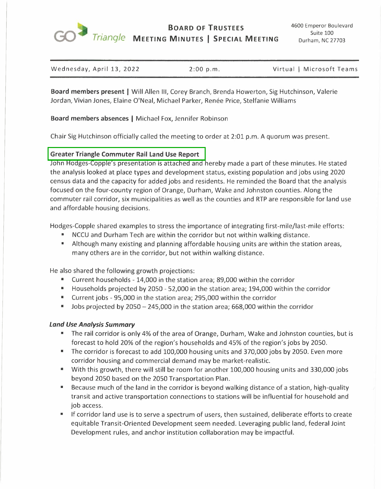

**BOARD OF TRUSTEES**  *Triangle* **MEETING MINUTES I SPECIAL MEETING** 

| Wednesday, April 13, 2022 | 2:00 p.m. | Virtual   Microsoft Teams |
|---------------------------|-----------|---------------------------|

**Board members present** I Will Allen Ill, Corey Branch, Brenda Howerton, Sig Hutchinson, Valerie Jordan, Vivian Jones, Elaine O'Neal, Michael Parker, Renee Price, Stelfanie Williams

## **Board members absences** I Michael Fox, Jennifer Robinson

Chair Sig Hutchinson officially called the meeting to order at 2:01 p.m. A quorum was present.

### **Greater Triangle Commuter Rail Land Use Report**

John Hodges-Copple's presentation is attached and hereby made a part of these minutes. He stated the analysis looked at place types and development status, existing population and jobs using 2020 census data and the capacity for added jobs and residents. He reminded the Board that the analysis focused on the four-county region of Orange, Durham, Wake and Johnston counties. Along the commuter rail corridor, six municipalities as well as the counties and RTP are responsible for land use and affordable housing decisions.

Hodges-Copple shared examples to stress the importance of integrating first-mile/last-mile efforts:

- NCCU and Durham Tech are within the corridor but not within walking distance.
- Although many existing and planning affordable housing units are within the station areas, many others are in the corridor, but not within walking distance.

He also shared the following growth projections:

- Current households 14,000 in the station area; 89,000 within the corridor
- Households projected by 2050 52,000 in the station area; 194,000 within the corridor
- Current jobs 95,000 in the station area; 295,000 within the corridor
- Jobs projected by 2050 245,000 in the station area; 668,000 within the corridor

#### *Land Use Analysis Summary*

- The rail corridor is only 4% of the area of Orange, Durham, Wake and Johnston counties, but is forecast to hold 20% of the region's households and 45% of the region's jobs by 2050.
- The corridor is forecast to add 100,000 housing units and 370,000 jobs by 2050. Even more corridor housing and commercial demand may be market-realistic.
- With this growth, there will still be room for another 100,000 housing units and 330,000 jobs beyond 2050 based on the 2050 Transportation Plan.
- Because much of the land in the corridor is beyond walking distance of a station, high-quality transit and active transportation connections to stations will be influential for household and job access.
- If corridor land use is to serve a spectrum of users, then sustained, deliberate efforts to create equitable Transit-Oriented Development seem needed. Leveraging public land, federal Joint Development rules, and anchor institution collaboration may be impactful.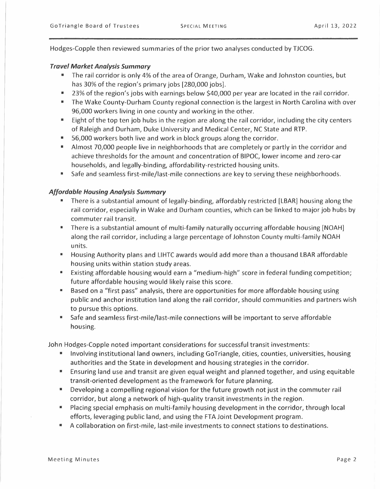Hodges-Copple then reviewed summaries of the prior two analyses conducted by TJCOG.

## *Travel Market Analysis Summary*

- The rail corridor is only 4% of the area of Orange, Durham, Wake and Johnston counties, but has 30% of the region's primary jobs [280,000 jobs].
- 23% of the region's jobs with earnings below \$40,000 per year are located in the rail corridor.
- The Wake County-Durham County regional connection is the largest in North Carolina with over 96,000 workers living in one county and working in the other.
- Eight of the top ten job hubs in the region are along the rail corridor, including the city centers of Raleigh and Durham, Duke University and Medical Center, NC State and RTP.
- 56,000 workers both live and work in block groups along the corridor.
- Almost 70,000 people live in neighborhoods that are completely or partly in the corridor and achieve thresholds for the amount and concentration of BIPOC, lower income and zero-car households, and legally-binding, affordability-restricted housing units.
- Safe and seamless first-mile/last-mile connections are key to serving these neighborhoods.

# *Affordable Housing Analysis Summary*

- There is a substantial amount of legally-binding, affordably restricted [LBAR] housing along the rail corridor, especially in Wake and Durham counties, which can be linked to major job hubs by commuter rail transit.
- There is a substantial amount of multi-family naturally occurring affordable housing [NOAH] along the rail corridor, including a large percentage of Johnston County multi-family NOAH units.
- Housing Authority plans and LIHTC awards would add more than a thousand LBAR affordable housing units within station study areas.
- Existing affordable housing would earn a "medium-high" score in federal funding competition; future affordable housing would likely raise this score.
- Based on a "first pass" analysis, there are opportunities for more affordable housing using public and anchor institution land along the rail corridor, should communities and partners wish to pursue this options.
- Safe and seamless first-mile/last-mile connections will be important to serve affordable housing.

John Hodges-Copple noted important considerations for successful transit investments:

- Involving institutional land owners, including GoTriangle, cities, counties, universities, housing authorities and the State in development and housing strategies in the corridor.
- Ensuring land use and transit are given equal weight and planned together, and using equitable transit-oriented development as the framework for future planning.
- Developing a compelling regional vision for the future growth not just in the commuter rail corridor, but along a network of high-quality transit investments in the region.
- Placing special emphasis on multi-family housing development in the corridor, through local efforts, leveraging public land, and using the FTA Joint Development program.
- A collaboration on first-mile, last-mile investments to connect stations to destinations.